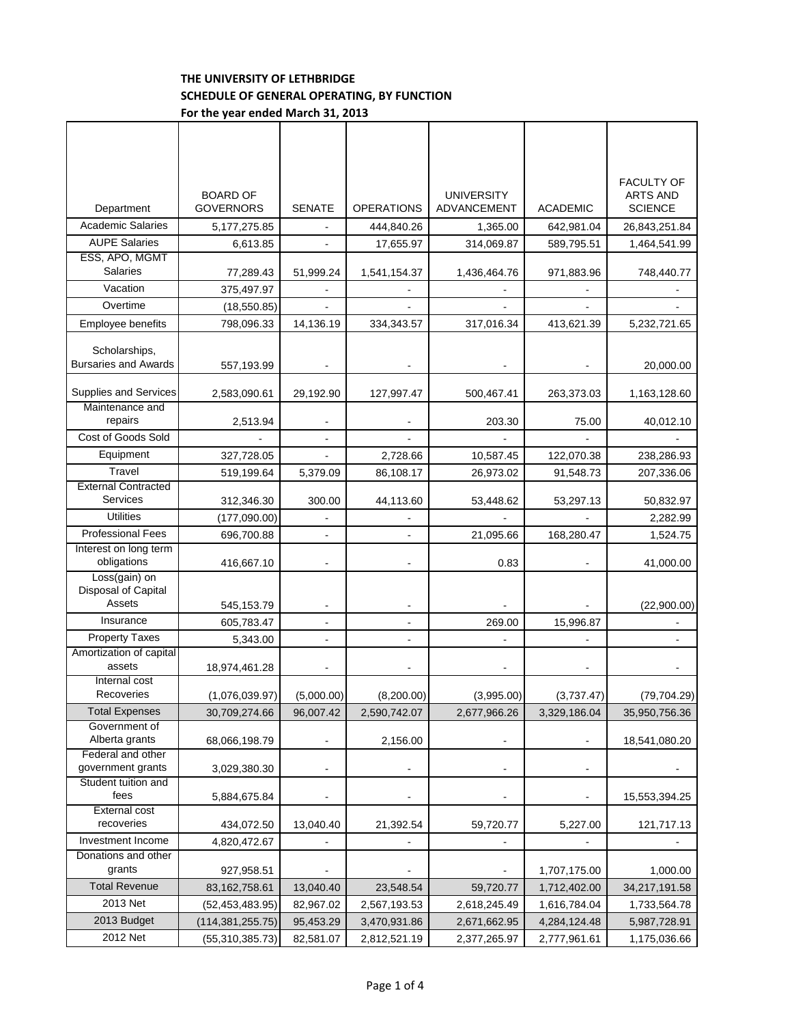## **THE UNIVERSITY OF LETHBRIDGE SCHEDULE OF GENERAL OPERATING, BY FUNCTION For the year ended March 31, 2013**

|                                                | <b>BOARD OF</b>    |                          |                   | <b>UNIVERSITY</b> |                          | <b>FACULTY OF</b><br><b>ARTS AND</b> |
|------------------------------------------------|--------------------|--------------------------|-------------------|-------------------|--------------------------|--------------------------------------|
| Department                                     | <b>GOVERNORS</b>   | <b>SENATE</b>            | <b>OPERATIONS</b> | ADVANCEMENT       | <b>ACADEMIC</b>          | <b>SCIENCE</b>                       |
| <b>Academic Salaries</b>                       | 5, 177, 275.85     |                          | 444,840.26        | 1,365.00          | 642,981.04               | 26,843,251.84                        |
| <b>AUPE Salaries</b>                           | 6,613.85           |                          | 17,655.97         | 314,069.87        | 589,795.51               | 1,464,541.99                         |
| ESS, APO, MGMT<br><b>Salaries</b>              | 77,289.43          | 51,999.24                | 1,541,154.37      | 1,436,464.76      | 971,883.96               | 748,440.77                           |
| Vacation                                       | 375,497.97         |                          |                   |                   |                          |                                      |
| Overtime                                       | (18, 550.85)       |                          |                   |                   |                          |                                      |
| Employee benefits                              | 798,096.33         | 14,136.19                | 334,343.57        | 317,016.34        | 413,621.39               | 5,232,721.65                         |
| Scholarships,<br><b>Bursaries and Awards</b>   | 557,193.99         |                          |                   |                   |                          | 20,000.00                            |
| Supplies and Services                          | 2,583,090.61       | 29,192.90                | 127,997.47        | 500,467.41        | 263,373.03               | 1,163,128.60                         |
| Maintenance and<br>repairs                     | 2,513.94           |                          |                   | 203.30            | 75.00                    | 40,012.10                            |
| Cost of Goods Sold                             |                    |                          |                   |                   |                          |                                      |
| Equipment                                      | 327,728.05         |                          | 2,728.66          | 10,587.45         | 122,070.38               | 238,286.93                           |
| Travel                                         | 519,199.64         | 5,379.09                 | 86,108.17         | 26,973.02         | 91,548.73                | 207,336.06                           |
| <b>External Contracted</b><br>Services         | 312,346.30         | 300.00                   | 44,113.60         | 53,448.62         | 53,297.13                | 50,832.97                            |
| <b>Utilities</b>                               | (177,090.00)       |                          |                   |                   |                          | 2,282.99                             |
| <b>Professional Fees</b>                       | 696,700.88         | $\blacksquare$           | ÷                 | 21,095.66         | 168,280.47               | 1,524.75                             |
| Interest on long term<br>obligations           | 416,667.10         |                          |                   | 0.83              |                          | 41,000.00                            |
| Loss(gain) on<br>Disposal of Capital<br>Assets | 545,153.79         |                          |                   |                   |                          | (22,900.00)                          |
| Insurance                                      | 605,783.47         |                          |                   | 269.00            | 15,996.87                |                                      |
| <b>Property Taxes</b>                          | 5,343.00           |                          |                   |                   |                          |                                      |
| Amortization of capital<br>assets              | 18,974,461.28      | $\blacksquare$           |                   |                   |                          |                                      |
| Internal cost<br>Recoveries                    | (1,076,039.97)     | (5,000.00)               | (8,200.00)        | (3,995.00)        | (3,737.47)               | (79, 704.29)                         |
| <b>Total Expenses</b>                          | 30,709,274.66      | 96,007.42                | 2,590,742.07      | 2,677,966.26      | 3,329,186.04             | 35,950,756.36                        |
| Government of<br>Alberta grants                | 68,066,198.79      |                          | 2,156.00          |                   |                          | 18,541,080.20                        |
| Federal and other<br>government grants         | 3,029,380.30       | $\overline{\phantom{a}}$ |                   | $\blacksquare$    | $\overline{\phantom{a}}$ |                                      |
| Student tuition and<br>fees                    | 5,884,675.84       |                          |                   |                   |                          | 15,553,394.25                        |
| <b>External cost</b><br>recoveries             | 434,072.50         | 13,040.40                | 21,392.54         | 59,720.77         | 5,227.00                 | 121,717.13                           |
| Investment Income                              | 4,820,472.67       |                          |                   |                   |                          |                                      |
| Donations and other<br>grants                  | 927,958.51         |                          |                   |                   | 1,707,175.00             | 1,000.00                             |
| <b>Total Revenue</b>                           | 83, 162, 758. 61   | 13,040.40                | 23,548.54         | 59,720.77         | 1,712,402.00             | 34,217,191.58                        |
| 2013 Net                                       | (52, 453, 483.95)  | 82,967.02                | 2,567,193.53      | 2,618,245.49      | 1,616,784.04             | 1,733,564.78                         |
| 2013 Budget                                    | (114, 381, 255.75) | 95,453.29                | 3,470,931.86      | 2,671,662.95      | 4,284,124.48             | 5,987,728.91                         |
| 2012 Net                                       | (55, 310, 385.73)  | 82,581.07                | 2,812,521.19      | 2,377,265.97      | 2,777,961.61             | 1,175,036.66                         |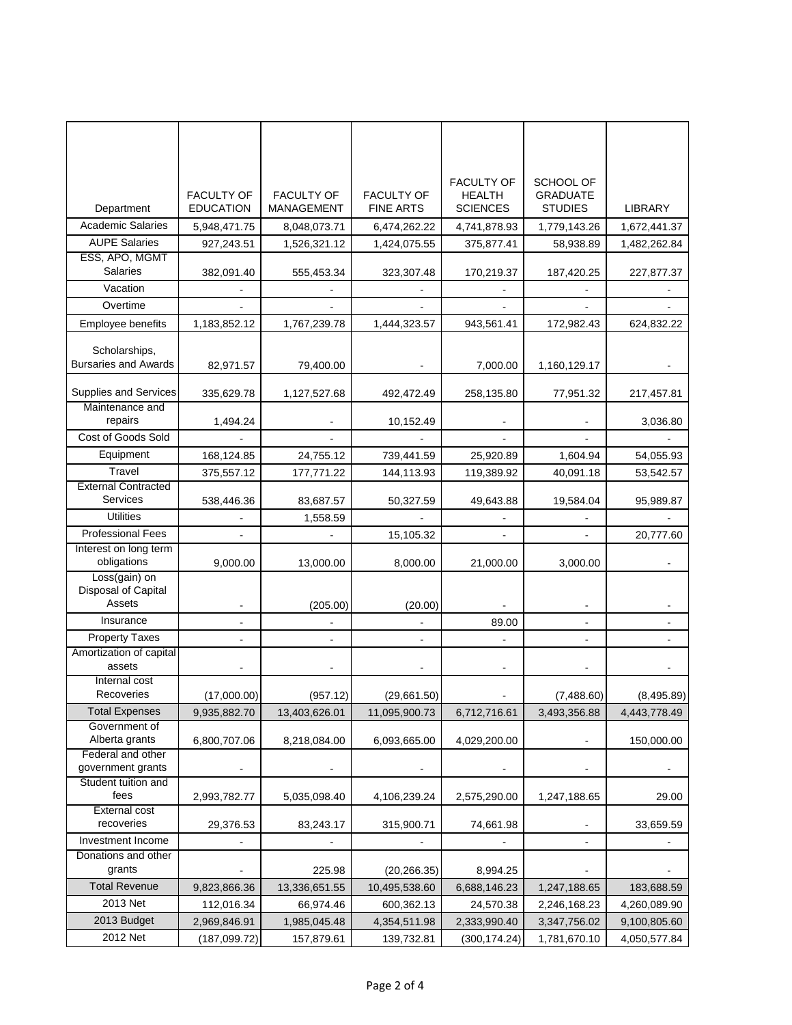|                                                |                                       |                                 |                                       | <b>FACULTY OF</b>                | <b>SCHOOL OF</b>                  |                |
|------------------------------------------------|---------------------------------------|---------------------------------|---------------------------------------|----------------------------------|-----------------------------------|----------------|
| Department                                     | <b>FACULTY OF</b><br><b>EDUCATION</b> | <b>FACULTY OF</b><br>MANAGEMENT | <b>FACULTY OF</b><br><b>FINE ARTS</b> | <b>HEALTH</b><br><b>SCIENCES</b> | <b>GRADUATE</b><br><b>STUDIES</b> | <b>LIBRARY</b> |
| <b>Academic Salaries</b>                       | 5,948,471.75                          | 8,048,073.71                    | 6,474,262.22                          | 4,741,878.93                     | 1,779,143.26                      | 1,672,441.37   |
| <b>AUPE Salaries</b>                           | 927,243.51                            | 1,526,321.12                    | 1,424,075.55                          | 375,877.41                       | 58,938.89                         | 1,482,262.84   |
| ESS, APO, MGMT<br><b>Salaries</b>              | 382,091.40                            | 555,453.34                      | 323,307.48                            | 170,219.37                       | 187,420.25                        | 227,877.37     |
| Vacation                                       |                                       |                                 |                                       |                                  |                                   |                |
| Overtime                                       |                                       |                                 |                                       |                                  |                                   |                |
| Employee benefits                              | 1,183,852.12                          | 1,767,239.78                    | 1,444,323.57                          | 943,561.41                       | 172,982.43                        | 624,832.22     |
| Scholarships,<br><b>Bursaries and Awards</b>   | 82,971.57                             | 79,400.00                       |                                       | 7,000.00                         | 1,160,129.17                      |                |
| Supplies and Services                          | 335,629.78                            | 1,127,527.68                    | 492,472.49                            | 258,135.80                       | 77,951.32                         | 217,457.81     |
| Maintenance and<br>repairs                     | 1,494.24                              |                                 | 10,152.49                             |                                  |                                   | 3,036.80       |
| Cost of Goods Sold                             |                                       |                                 |                                       |                                  |                                   |                |
| Equipment                                      | 168,124.85                            | 24,755.12                       | 739,441.59                            | 25,920.89                        | 1,604.94                          | 54,055.93      |
| Travel                                         | 375.557.12                            | 177,771.22                      | 144,113.93                            | 119,389.92                       | 40,091.18                         | 53,542.57      |
| <b>External Contracted</b><br>Services         | 538,446.36                            | 83,687.57                       | 50,327.59                             | 49,643.88                        | 19,584.04                         | 95,989.87      |
| <b>Utilities</b>                               |                                       | 1,558.59                        |                                       |                                  |                                   |                |
| <b>Professional Fees</b>                       |                                       |                                 | 15,105.32                             |                                  |                                   | 20,777.60      |
| Interest on long term<br>obligations           | 9,000.00                              | 13,000.00                       | 8,000.00                              | 21,000.00                        | 3,000.00                          |                |
| Loss(gain) on<br>Disposal of Capital<br>Assets |                                       | (205.00)                        | (20.00)                               |                                  |                                   |                |
| Insurance                                      |                                       |                                 |                                       | 89.00                            |                                   |                |
| <b>Property Taxes</b>                          |                                       |                                 |                                       |                                  |                                   |                |
| Amortization of capital<br>assets              |                                       |                                 |                                       |                                  |                                   |                |
| Internal cost<br>Recoveries                    | (17,000.00)                           | (957.12)                        | (29,661.50)                           |                                  | (7,488.60)                        | (8,495.89)     |
| <b>Total Expenses</b>                          | 9,935,882.70                          | 13,403,626.01                   | 11,095,900.73                         | 6,712,716.61                     | 3,493,356.88                      | 4,443,778.49   |
| Government of<br>Alberta grants                | 6,800,707.06                          | 8,218,084.00                    | 6,093,665.00                          | 4,029,200.00                     |                                   | 150,000.00     |
| Federal and other<br>government grants         |                                       |                                 |                                       |                                  |                                   |                |
| Student tuition and<br>fees                    | 2,993,782.77                          | 5,035,098.40                    | 4,106,239.24                          | 2,575,290.00                     | 1,247,188.65                      | 29.00          |
| External cost<br>recoveries                    | 29,376.53                             | 83,243.17                       | 315,900.71                            | 74,661.98                        |                                   | 33,659.59      |
| Investment Income                              |                                       |                                 |                                       |                                  | $\overline{a}$                    |                |
| Donations and other<br>grants                  |                                       | 225.98                          | (20, 266.35)                          | 8,994.25                         |                                   |                |
| <b>Total Revenue</b>                           | 9,823,866.36                          | 13,336,651.55                   | 10,495,538.60                         | 6,688,146.23                     | 1,247,188.65                      | 183,688.59     |
| 2013 Net                                       | 112,016.34                            | 66,974.46                       | 600,362.13                            | 24,570.38                        | 2,246,168.23                      | 4,260,089.90   |
| 2013 Budget                                    | 2,969,846.91                          | 1,985,045.48                    | 4,354,511.98                          | 2,333,990.40                     | 3,347,756.02                      | 9,100,805.60   |
| 2012 Net                                       | (187, 099.72)                         | 157,879.61                      | 139,732.81                            | (300, 174.24)                    | 1,781,670.10                      | 4,050,577.84   |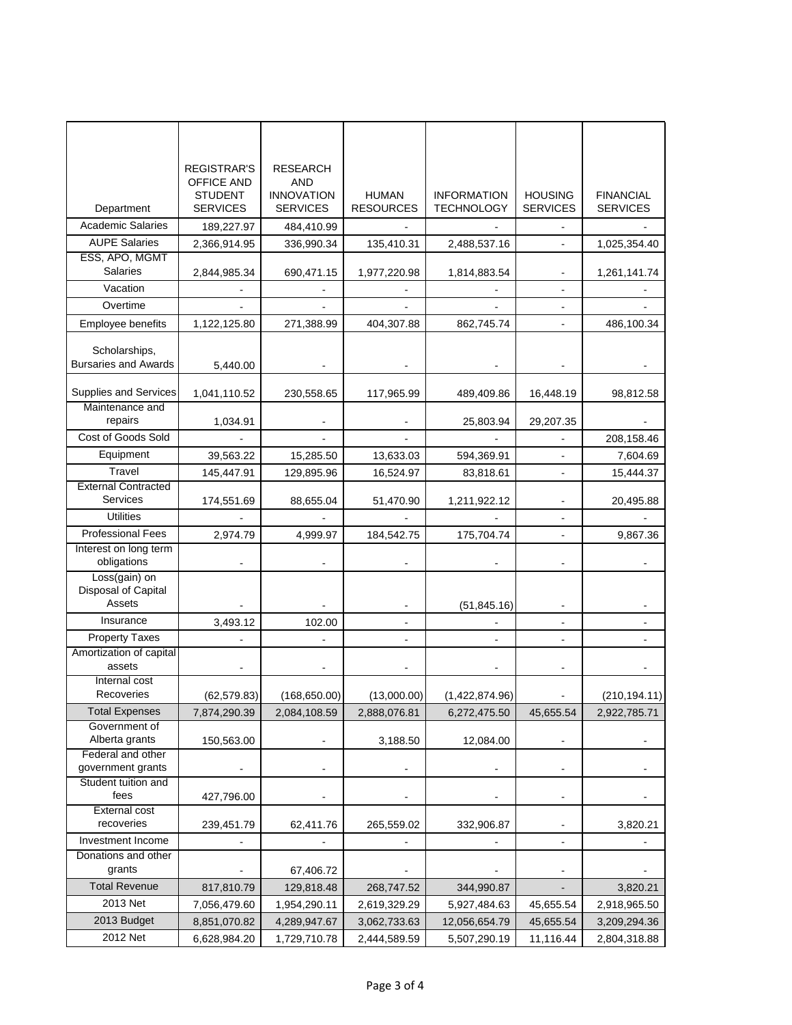|                                        | <b>REGISTRAR'S</b>                  | <b>RESEARCH</b>          |                  |                    |                 |                  |
|----------------------------------------|-------------------------------------|--------------------------|------------------|--------------------|-----------------|------------------|
|                                        | <b>OFFICE AND</b><br><b>STUDENT</b> | AND<br><b>INNOVATION</b> | <b>HUMAN</b>     | <b>INFORMATION</b> | <b>HOUSING</b>  | <b>FINANCIAL</b> |
| Department                             | <b>SERVICES</b>                     | <b>SERVICES</b>          | <b>RESOURCES</b> | <b>TECHNOLOGY</b>  | <b>SERVICES</b> | <b>SERVICES</b>  |
| <b>Academic Salaries</b>               | 189,227.97                          | 484,410.99               |                  |                    |                 |                  |
| <b>AUPE Salaries</b>                   | 2,366,914.95                        | 336,990.34               | 135,410.31       | 2,488,537.16       |                 | 1,025,354.40     |
| ESS, APO, MGMT                         |                                     |                          |                  |                    |                 |                  |
| <b>Salaries</b>                        | 2,844,985.34                        | 690,471.15               | 1,977,220.98     | 1,814,883.54       |                 | 1,261,141.74     |
| Vacation                               |                                     |                          |                  |                    |                 |                  |
| Overtime                               |                                     |                          |                  |                    | ÷               |                  |
| Employee benefits                      | 1,122,125.80                        | 271,388.99               | 404,307.88       | 862,745.74         | ä,              | 486,100.34       |
|                                        |                                     |                          |                  |                    |                 |                  |
| Scholarships,                          |                                     |                          |                  |                    |                 |                  |
| <b>Bursaries and Awards</b>            | 5,440.00                            |                          |                  |                    |                 |                  |
| Supplies and Services                  | 1,041,110.52                        | 230,558.65               | 117,965.99       | 489,409.86         | 16,448.19       | 98,812.58        |
| Maintenance and                        |                                     |                          |                  |                    |                 |                  |
| repairs                                | 1,034.91                            |                          |                  | 25,803.94          | 29,207.35       |                  |
| Cost of Goods Sold                     |                                     |                          |                  |                    |                 | 208,158.46       |
| Equipment                              | 39,563.22                           | 15,285.50                | 13,633.03        | 594,369.91         | ÷,              | 7,604.69         |
| Travel                                 | 145.447.91                          | 129,895.96               | 16,524.97        | 83,818.61          |                 | 15,444.37        |
| <b>External Contracted</b>             |                                     |                          |                  |                    |                 |                  |
| Services                               | 174,551.69                          | 88,655.04                | 51,470.90        | 1,211,922.12       |                 | 20,495.88        |
| <b>Utilities</b>                       |                                     |                          |                  |                    | ä,              |                  |
| <b>Professional Fees</b>               | 2,974.79                            | 4,999.97                 | 184,542.75       | 175,704.74         |                 | 9,867.36         |
| Interest on long term                  |                                     |                          |                  |                    |                 |                  |
| obligations<br>Loss(gain) on           |                                     |                          |                  |                    | ۰               |                  |
| Disposal of Capital                    |                                     |                          |                  |                    |                 |                  |
| Assets                                 |                                     |                          |                  | (51, 845.16)       |                 |                  |
| Insurance                              | 3,493.12                            | 102.00                   |                  |                    |                 |                  |
| <b>Property Taxes</b>                  |                                     |                          |                  |                    |                 |                  |
| Amortization of capital                |                                     |                          |                  |                    |                 |                  |
| assets                                 |                                     |                          |                  |                    |                 |                  |
| Internal cost<br>Recoveries            |                                     |                          |                  |                    |                 |                  |
|                                        | (62, 579.83)                        | (168, 650.00)            | (13,000.00)      | (1,422,874.96)     |                 | (210, 194.11)    |
| <b>Total Expenses</b><br>Government of | 7,874,290.39                        | 2,084,108.59             | 2,888,076.81     | 6,272,475.50       | 45,655.54       | 2,922,785.71     |
| Alberta grants                         | 150,563.00                          |                          | 3,188.50         | 12,084.00          |                 |                  |
| Federal and other                      |                                     |                          |                  |                    |                 |                  |
| government grants                      |                                     |                          |                  |                    |                 |                  |
| Student tuition and                    |                                     |                          |                  |                    |                 |                  |
| fees<br><b>External cost</b>           | 427,796.00                          |                          |                  |                    |                 |                  |
| recoveries                             | 239,451.79                          | 62,411.76                | 265,559.02       | 332,906.87         |                 | 3,820.21         |
| Investment Income                      |                                     |                          |                  |                    | $\blacksquare$  |                  |
| Donations and other                    |                                     |                          |                  |                    |                 |                  |
| grants                                 |                                     | 67,406.72                |                  |                    |                 |                  |
| <b>Total Revenue</b>                   | 817,810.79                          | 129,818.48               | 268,747.52       | 344,990.87         |                 | 3,820.21         |
| 2013 Net                               | 7,056,479.60                        | 1,954,290.11             | 2,619,329.29     | 5,927,484.63       | 45,655.54       | 2,918,965.50     |
| 2013 Budget                            | 8,851,070.82                        | 4,289,947.67             | 3,062,733.63     | 12,056,654.79      | 45,655.54       | 3,209,294.36     |
| 2012 Net                               | 6,628,984.20                        | 1,729,710.78             | 2,444,589.59     | 5,507,290.19       | 11,116.44       | 2,804,318.88     |